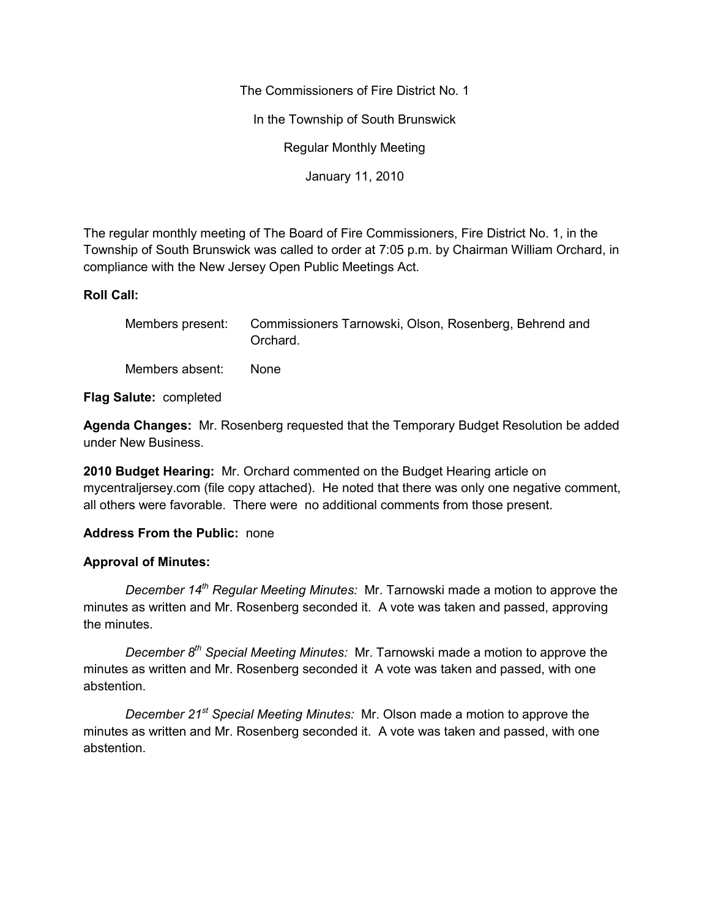The Commissioners of Fire District No. 1

In the Township of South Brunswick

Regular Monthly Meeting

January 11, 2010

The regular monthly meeting of The Board of Fire Commissioners, Fire District No. 1, in the Township of South Brunswick was called to order at 7:05 p.m. by Chairman William Orchard, in compliance with the New Jersey Open Public Meetings Act.

### **Roll Call:**

|                 | Members present: Commissioners Tarnowski, Olson, Rosenberg, Behrend and<br>Orchard. |
|-----------------|-------------------------------------------------------------------------------------|
| Members absent: | None.                                                                               |

**Flag Salute:** completed

**Agenda Changes:** Mr. Rosenberg requested that the Temporary Budget Resolution be added under New Business.

**2010 Budget Hearing:** Mr. Orchard commented on the Budget Hearing article on mycentraljersey.com (file copy attached). He noted that there was only one negative comment, all others were favorable. There were no additional comments from those present.

# **Address From the Public:** none

# **Approval of Minutes:**

*December 14th Regular Meeting Minutes:* Mr. Tarnowski made a motion to approve the minutes as written and Mr. Rosenberg seconded it. A vote was taken and passed, approving the minutes.

*December 8th Special Meeting Minutes:* Mr. Tarnowski made a motion to approve the minutes as written and Mr. Rosenberg seconded it A vote was taken and passed, with one abstention.

*December 21st Special Meeting Minutes:* Mr. Olson made a motion to approve the minutes as written and Mr. Rosenberg seconded it. A vote was taken and passed, with one abstention.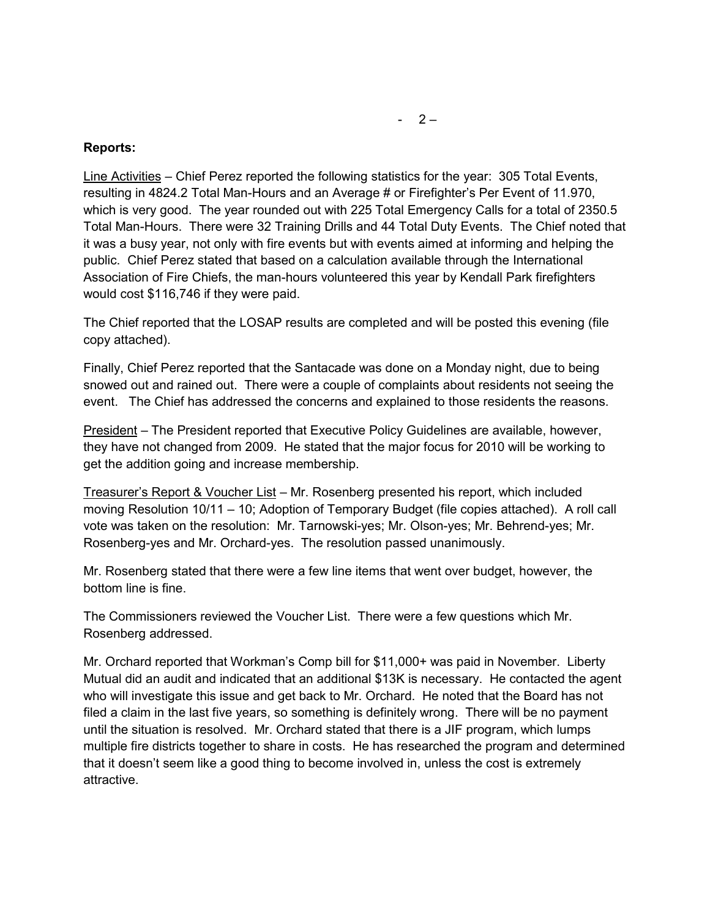#### **Reports:**

Line Activities – Chief Perez reported the following statistics for the year: 305 Total Events, resulting in 4824.2 Total Man-Hours and an Average # or Firefighter's Per Event of 11.970, which is very good. The year rounded out with 225 Total Emergency Calls for a total of 2350.5 Total Man-Hours. There were 32 Training Drills and 44 Total Duty Events. The Chief noted that it was a busy year, not only with fire events but with events aimed at informing and helping the public. Chief Perez stated that based on a calculation available through the International Association of Fire Chiefs, the man-hours volunteered this year by Kendall Park firefighters would cost \$116,746 if they were paid.

The Chief reported that the LOSAP results are completed and will be posted this evening (file copy attached).

Finally, Chief Perez reported that the Santacade was done on a Monday night, due to being snowed out and rained out. There were a couple of complaints about residents not seeing the event. The Chief has addressed the concerns and explained to those residents the reasons.

President – The President reported that Executive Policy Guidelines are available, however, they have not changed from 2009. He stated that the major focus for 2010 will be working to get the addition going and increase membership.

Treasurer's Report & Voucher List – Mr. Rosenberg presented his report, which included moving Resolution 10/11 – 10; Adoption of Temporary Budget (file copies attached). A roll call vote was taken on the resolution: Mr. Tarnowski-yes; Mr. Olson-yes; Mr. Behrend-yes; Mr. Rosenberg-yes and Mr. Orchard-yes. The resolution passed unanimously.

Mr. Rosenberg stated that there were a few line items that went over budget, however, the bottom line is fine.

The Commissioners reviewed the Voucher List. There were a few questions which Mr. Rosenberg addressed.

Mr. Orchard reported that Workman's Comp bill for \$11,000+ was paid in November. Liberty Mutual did an audit and indicated that an additional \$13K is necessary. He contacted the agent who will investigate this issue and get back to Mr. Orchard. He noted that the Board has not filed a claim in the last five years, so something is definitely wrong. There will be no payment until the situation is resolved. Mr. Orchard stated that there is a JIF program, which lumps multiple fire districts together to share in costs. He has researched the program and determined that it doesn't seem like a good thing to become involved in, unless the cost is extremely attractive.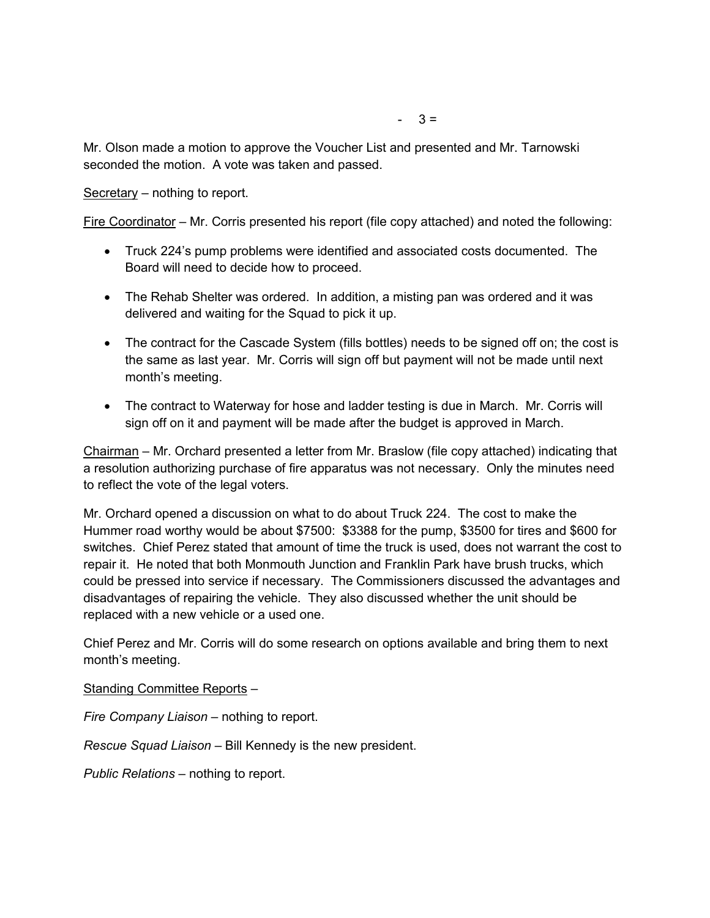Secretary – nothing to report.

Fire Coordinator – Mr. Corris presented his report (file copy attached) and noted the following:

- Truck 224's pump problems were identified and associated costs documented. The Board will need to decide how to proceed.
- The Rehab Shelter was ordered. In addition, a misting pan was ordered and it was delivered and waiting for the Squad to pick it up.
- The contract for the Cascade System (fills bottles) needs to be signed off on; the cost is the same as last year. Mr. Corris will sign off but payment will not be made until next month's meeting.
- The contract to Waterway for hose and ladder testing is due in March. Mr. Corris will sign off on it and payment will be made after the budget is approved in March.

Chairman – Mr. Orchard presented a letter from Mr. Braslow (file copy attached) indicating that a resolution authorizing purchase of fire apparatus was not necessary. Only the minutes need to reflect the vote of the legal voters.

Mr. Orchard opened a discussion on what to do about Truck 224. The cost to make the Hummer road worthy would be about \$7500: \$3388 for the pump, \$3500 for tires and \$600 for switches. Chief Perez stated that amount of time the truck is used, does not warrant the cost to repair it. He noted that both Monmouth Junction and Franklin Park have brush trucks, which could be pressed into service if necessary. The Commissioners discussed the advantages and disadvantages of repairing the vehicle. They also discussed whether the unit should be replaced with a new vehicle or a used one.

Chief Perez and Mr. Corris will do some research on options available and bring them to next month's meeting.

Standing Committee Reports –

*Fire Company Liaison –* nothing to report.

*Rescue Squad Liaison –* Bill Kennedy is the new president.

*Public Relations –* nothing to report.